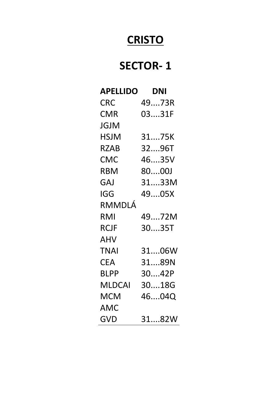## **CRISTO**

### **SECTOR- 1**

| <b>APELLIDO</b> | <b>DNI</b> |
|-----------------|------------|
| <b>CRC</b>      | 4973R      |
| <b>CMR</b>      | 0331F      |
| JGJM            |            |
| HSJM            | 3175K      |
| RZAB            | 3296T      |
| <b>CMC</b>      | 4635V      |
| <b>RBM</b>      | 8000J      |
| <b>GAJ</b>      | 3133M      |
| IGG             | 4905X      |
| RMMDLÁ          |            |
| RMI             | 4972M      |
| <b>RCJF</b>     | 3035T      |
| AHV             |            |
| <b>TNAI</b>     | 3106W      |
| <b>CEA</b>      | 3189N      |
| <b>BLPP</b>     | 3042P      |
| MLDCAI          | 3018G      |
| MCM             | 4604Q      |
| AMC             |            |
| <b>GVD</b>      | 3182W      |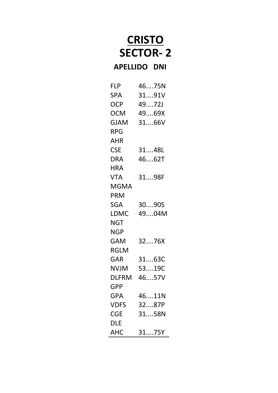# **CRISTO SECTOR- 2**

#### **APELLIDO DNI**

| <b>FLP</b>   | 4675N |
|--------------|-------|
| SPA          | 3191V |
| <b>OCP</b>   | 4972J |
| <b>OCM</b>   | 4969X |
| <b>GJAM</b>  | 3166V |
| RPG          |       |
| <b>AHR</b>   |       |
| <b>CSE</b>   | 3148L |
| <b>DRA</b>   | 4662T |
| HRA          |       |
| <b>VTA</b>   | 3198F |
| MGMA         |       |
| PRM          |       |
| <b>SGA</b>   | 3090S |
| LDMC         | 4904M |
| <b>NGT</b>   |       |
| NGP          |       |
| GAM          | 3276X |
| <b>RGLM</b>  |       |
| GAR          | 3163C |
| <b>NVJM</b>  | 5319C |
| <b>DLFRM</b> | 4657V |
| <b>GPP</b>   |       |
| <b>GPA</b>   | 4611N |
| <b>VDFS</b>  | 3287P |
| CGE          | 3158N |
| dle          |       |
| АНС          | 3175Y |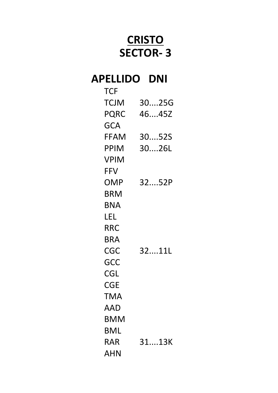# **CRISTO SECTOR- 3**

### **APELLIDO DNI**

| <b>TCF</b>  |       |
|-------------|-------|
| TCJM        | 3025G |
| <b>PQRC</b> | 4645Z |
| GCA         |       |
| FFAM        | 3052S |
| PPIM        | 3026L |
| VPIM        |       |
| <b>FFV</b>  |       |
| OMP         | 3252P |
| BRM         |       |
| BNA         |       |
| LEL         |       |
| RRC         |       |
| BRA         |       |
| CGC         | 3211L |
| GCC         |       |
| CGL         |       |
| CGE         |       |
| TMA         |       |
| AAD         |       |
| <b>BMM</b>  |       |
| BML         |       |
| RAR         | 3113K |
| AHN         |       |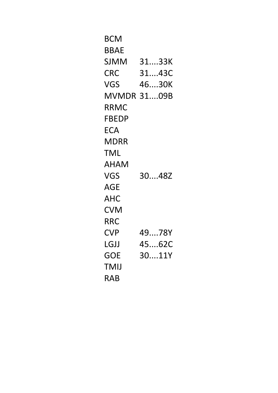| BCM        |             |
|------------|-------------|
| BBAE       |             |
| SJMM       | 3133K       |
| CRC        | 3143C       |
| VGS        | 4630K       |
|            | MVMDR 3109B |
| RRMC       |             |
| FBEDP      |             |
| <b>ECA</b> |             |
| MDRR       |             |
| TML        |             |
| AHAM       |             |
| VGS        | 3048Z       |
| AGE        |             |
| AHC        |             |
| <b>CVM</b> |             |
| RRC        |             |
| CVP        | 4978Y       |
| LGJJ       | 4562C       |
| <b>GOE</b> | 3011Y       |
| TMIJ       |             |
| <b>RAB</b> |             |